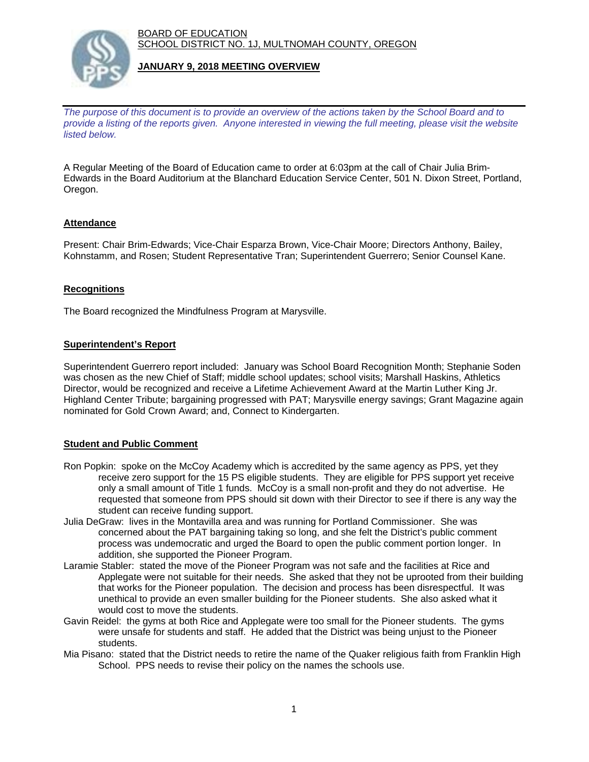BOARD OF EDUCATION SCHOOL DISTRICT NO. 1J, MULTNOMAH COUNTY, OREGON



# **JANUARY 9, 2018 MEETING OVERVIEW**

*The purpose of this document is to provide an overview of the actions taken by the School Board and to provide a listing of the reports given. Anyone interested in viewing the full meeting, please visit the website listed below.*

A Regular Meeting of the Board of Education came to order at 6:03pm at the call of Chair Julia Brim-Edwards in the Board Auditorium at the Blanchard Education Service Center, 501 N. Dixon Street, Portland, Oregon.

# **Attendance**

Present: Chair Brim-Edwards; Vice-Chair Esparza Brown, Vice-Chair Moore; Directors Anthony, Bailey, Kohnstamm, and Rosen; Student Representative Tran; Superintendent Guerrero; Senior Counsel Kane.

### **Recognitions**

The Board recognized the Mindfulness Program at Marysville.

### **Superintendent's Report**

Superintendent Guerrero report included: January was School Board Recognition Month; Stephanie Soden was chosen as the new Chief of Staff; middle school updates; school visits; Marshall Haskins, Athletics Director, would be recognized and receive a Lifetime Achievement Award at the Martin Luther King Jr. Highland Center Tribute; bargaining progressed with PAT; Marysville energy savings; Grant Magazine again nominated for Gold Crown Award; and, Connect to Kindergarten.

# **Student and Public Comment**

- Ron Popkin: spoke on the McCoy Academy which is accredited by the same agency as PPS, yet they receive zero support for the 15 PS eligible students. They are eligible for PPS support yet receive only a small amount of Title 1 funds. McCoy is a small non-profit and they do not advertise. He requested that someone from PPS should sit down with their Director to see if there is any way the student can receive funding support.
- Julia DeGraw: lives in the Montavilla area and was running for Portland Commissioner. She was concerned about the PAT bargaining taking so long, and she felt the District's public comment process was undemocratic and urged the Board to open the public comment portion longer. In addition, she supported the Pioneer Program.
- Laramie Stabler: stated the move of the Pioneer Program was not safe and the facilities at Rice and Applegate were not suitable for their needs. She asked that they not be uprooted from their building that works for the Pioneer population. The decision and process has been disrespectful. It was unethical to provide an even smaller building for the Pioneer students. She also asked what it would cost to move the students.
- Gavin Reidel: the gyms at both Rice and Applegate were too small for the Pioneer students. The gyms were unsafe for students and staff. He added that the District was being unjust to the Pioneer students.
- Mia Pisano: stated that the District needs to retire the name of the Quaker religious faith from Franklin High School. PPS needs to revise their policy on the names the schools use.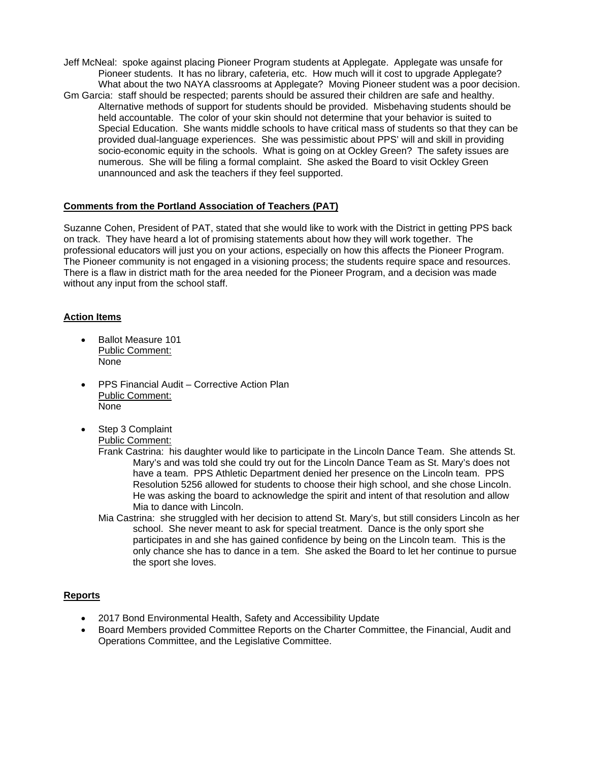- Jeff McNeal: spoke against placing Pioneer Program students at Applegate. Applegate was unsafe for Pioneer students. It has no library, cafeteria, etc. How much will it cost to upgrade Applegate? What about the two NAYA classrooms at Applegate? Moving Pioneer student was a poor decision. Gm Garcia: staff should be respected; parents should be assured their children are safe and healthy. Alternative methods of support for students should be provided. Misbehaving students should be
	- held accountable. The color of your skin should not determine that your behavior is suited to Special Education. She wants middle schools to have critical mass of students so that they can be provided dual-language experiences. She was pessimistic about PPS' will and skill in providing socio-economic equity in the schools. What is going on at Ockley Green? The safety issues are numerous. She will be filing a formal complaint. She asked the Board to visit Ockley Green unannounced and ask the teachers if they feel supported.

# **Comments from the Portland Association of Teachers (PAT)**

Suzanne Cohen, President of PAT, stated that she would like to work with the District in getting PPS back on track. They have heard a lot of promising statements about how they will work together. The professional educators will just you on your actions, especially on how this affects the Pioneer Program. The Pioneer community is not engaged in a visioning process; the students require space and resources. There is a flaw in district math for the area needed for the Pioneer Program, and a decision was made without any input from the school staff.

### **Action Items**

- Ballot Measure 101 Public Comment: None
- PPS Financial Audit Corrective Action Plan Public Comment: None
- Step 3 Complaint Public Comment:
	- Frank Castrina: his daughter would like to participate in the Lincoln Dance Team. She attends St. Mary's and was told she could try out for the Lincoln Dance Team as St. Mary's does not have a team. PPS Athletic Department denied her presence on the Lincoln team. PPS Resolution 5256 allowed for students to choose their high school, and she chose Lincoln. He was asking the board to acknowledge the spirit and intent of that resolution and allow Mia to dance with Lincoln.
	- Mia Castrina: she struggled with her decision to attend St. Mary's, but still considers Lincoln as her school. She never meant to ask for special treatment. Dance is the only sport she participates in and she has gained confidence by being on the Lincoln team. This is the only chance she has to dance in a tem. She asked the Board to let her continue to pursue the sport she loves.

#### **Reports**

- 2017 Bond Environmental Health, Safety and Accessibility Update
- Board Members provided Committee Reports on the Charter Committee, the Financial, Audit and Operations Committee, and the Legislative Committee.